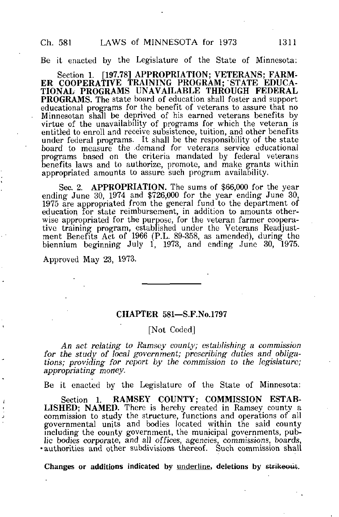Be it enacted by the Legislature of the State of Minnesota:

Section 1. [197.78] APPROPRIATION; VETERANS; FARM-ER COOPERATIVE TRAINING PROGRAM; STATE EDUCA-TIONAL PROGRAMS UNAVAILABLE THROUGH FEDERAL PROGRAMS. The state board of education shall foster and support educational programs for the benefit of veterans to assure that no Minnesotan shall be deprived of his earned veterans benefits by virtue of the unavailability of programs for which the veteran is entitled to enroll and receive subsistence, tuition, and other benefits under federal programs. It shall be the responsibility of the state board to measure the demand for veterans service educational programs based on the criteria mandated by federal veterans benefits laws and to authorize, promote, and make grants within appropriated amounts to assure such program availability.

Sec. 2. APPROPRIATION. The sums of \$66,000 for the year ending June 30, 1974 and \$726,000 for the year ending June 30, 1975 are appropriated from the general fund to the department of education for state reimbursement, in addition to amounts otherwise appropriated for the purpose, for the veteran farmer cooperative training program, established under the Veterans Readjustment Benefits Act of 1966 (P.L. 89-358, as amended), during the biennium beginning July 1, 1973, and ending June 30, 1975.

Approved May 23, 1973.

د

#### CHAPTER 581—S.F.No.1797

## [Not Coded]

An act relating to Ramsey county; establishing a commission for the study of local government; prescribing duties and obligations; providing for report by the commission to the legislature; appropriating money.

Be it enacted by the Legislature of the State of Minnesota:

Section 1. RAMSEY COUNTY; COMMISSION ESTAB-LISHED; NAMED. There is hereby created in Ramsey county a commission to study the structure, functions and operations of all governmental units and bodies located within the said county including the county government, the municipal governments, public bodies corporate, and all offices, agencies, commissions, boards, •authorities and other subdivisions thereof. Such commission shall

Changes or additions indicated by underline, deletions by strikeout.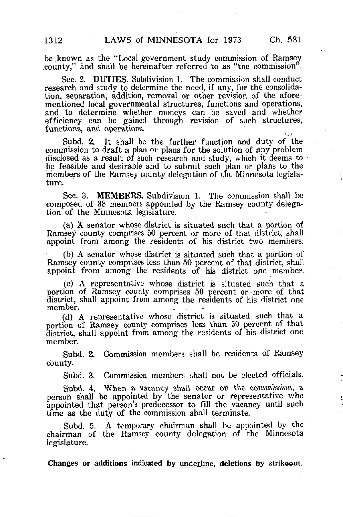be .known as the "Local government study commission of Ramsey county," and shall be hereinafter referred to as "the commission".

Sec. 2. DUTIES. Subdivision 1. The commission shall conduct research and study to determine the need, if any, for the consolidation, separation, addition, removal or other revision of the aforementioned local governmental structures, functions and operations, and to determine whether moneys can be saved and whether efficiency can be gained through revision of such structures, functions, and operations.

Subd. 2. It shall be the further function and duty of the commission to draft a plan or plans for the solution of any problem disclosed as a result of such research and study, which it deems to be feasible and desirable and to submit such plan or plans to the members of the Ramsey county delegation of the Minnesota legislature.

Sec. 3. MEMBERS. Subdivision 1. The commission shall be composed of 38 members appointed by the Ramsey county delegation of the Minnesota legislature.

(a) A senator whose district is situated such that a portion of Ramsey county comprises 50 percent or more of that district, shall appoint from among the residents of his district two members.

(b) A senator whose district is situated such that a portion of Ramsey county comprises less than 50 percent of that district, shall appoint from among the residents of his district one member.

(c) A representative whose district is situated such that a portion of Ramsey county comprises 50 percent or more of that district, shall appoint from among the residents of his district one member. .. ...

(d) A representative whose district is situated such that a portion of Ramsey county comprises less than 50 percent of that district, shall appoint from among the residents of his district one member.

Subd. 2. Commission members shall be residents of Ramsey county.

Subd. 3. Commission members shall not be elected officials.

Subd. 4. When a vacancy shall occur on the commission, a person shall be appointed by the senator or representative who appointed that person's predecessor to fill the vacancy until such time as the duty of the commission shall terminate.

Subd. 5. A temporary chairman shall be appointed by the chairman of the Ramsey county delegation of the Minnesota legislature.

Changes or additions indicated by underline, deletions by strikeout.